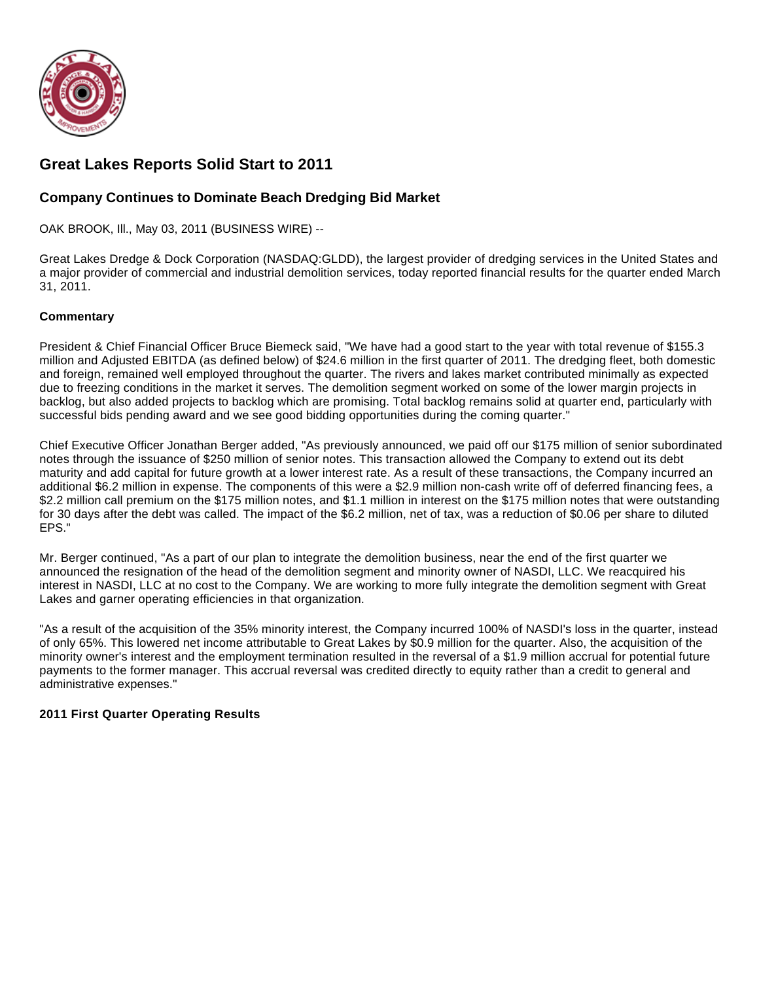

# **Great Lakes Reports Solid Start to 2011**

# **Company Continues to Dominate Beach Dredging Bid Market**

OAK BROOK, Ill., May 03, 2011 (BUSINESS WIRE) --

Great Lakes Dredge & Dock Corporation (NASDAQ:GLDD), the largest provider of dredging services in the United States and a major provider of commercial and industrial demolition services, today reported financial results for the quarter ended March 31, 2011.

### **Commentary**

President & Chief Financial Officer Bruce Biemeck said, "We have had a good start to the year with total revenue of \$155.3 million and Adjusted EBITDA (as defined below) of \$24.6 million in the first quarter of 2011. The dredging fleet, both domestic and foreign, remained well employed throughout the quarter. The rivers and lakes market contributed minimally as expected due to freezing conditions in the market it serves. The demolition segment worked on some of the lower margin projects in backlog, but also added projects to backlog which are promising. Total backlog remains solid at quarter end, particularly with successful bids pending award and we see good bidding opportunities during the coming quarter."

Chief Executive Officer Jonathan Berger added, "As previously announced, we paid off our \$175 million of senior subordinated notes through the issuance of \$250 million of senior notes. This transaction allowed the Company to extend out its debt maturity and add capital for future growth at a lower interest rate. As a result of these transactions, the Company incurred an additional \$6.2 million in expense. The components of this were a \$2.9 million non-cash write off of deferred financing fees, a \$2.2 million call premium on the \$175 million notes, and \$1.1 million in interest on the \$175 million notes that were outstanding for 30 days after the debt was called. The impact of the \$6.2 million, net of tax, was a reduction of \$0.06 per share to diluted EPS."

Mr. Berger continued, "As a part of our plan to integrate the demolition business, near the end of the first quarter we announced the resignation of the head of the demolition segment and minority owner of NASDI, LLC. We reacquired his interest in NASDI, LLC at no cost to the Company. We are working to more fully integrate the demolition segment with Great Lakes and garner operating efficiencies in that organization.

"As a result of the acquisition of the 35% minority interest, the Company incurred 100% of NASDI's loss in the quarter, instead of only 65%. This lowered net income attributable to Great Lakes by \$0.9 million for the quarter. Also, the acquisition of the minority owner's interest and the employment termination resulted in the reversal of a \$1.9 million accrual for potential future payments to the former manager. This accrual reversal was credited directly to equity rather than a credit to general and administrative expenses."

#### **2011 First Quarter Operating Results**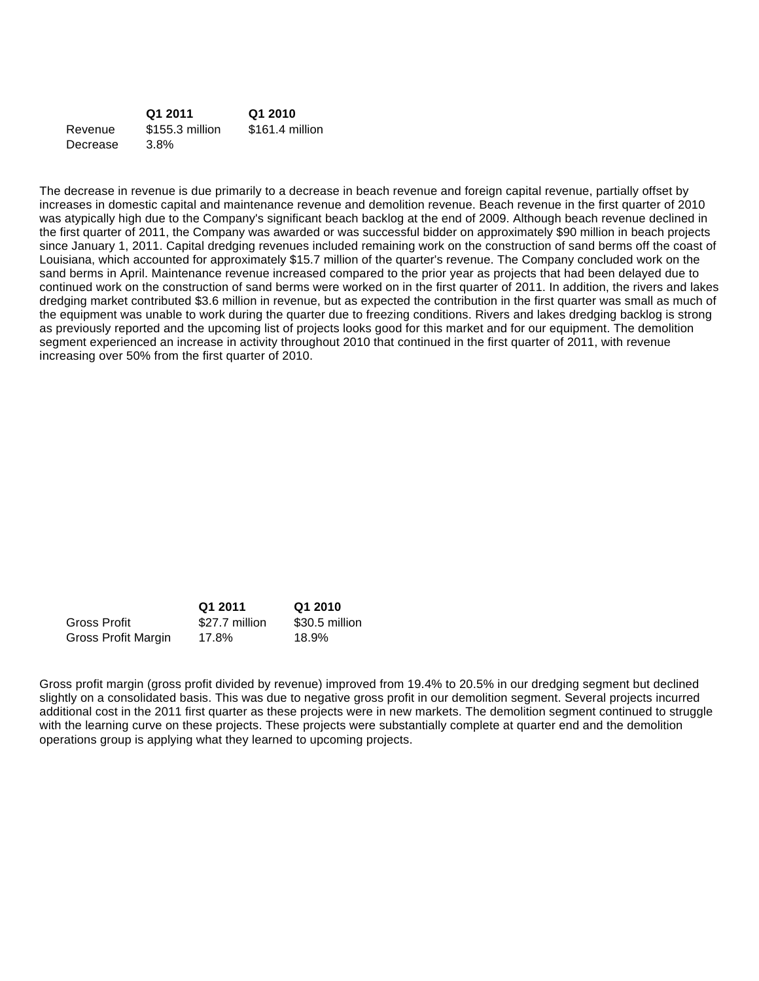|          | Q1 2011         | Q1 2010         |
|----------|-----------------|-----------------|
| Revenue  | \$155.3 million | \$161.4 million |
| Decrease | 3.8%            |                 |

The decrease in revenue is due primarily to a decrease in beach revenue and foreign capital revenue, partially offset by increases in domestic capital and maintenance revenue and demolition revenue. Beach revenue in the first quarter of 2010 was atypically high due to the Company's significant beach backlog at the end of 2009. Although beach revenue declined in the first quarter of 2011, the Company was awarded or was successful bidder on approximately \$90 million in beach projects since January 1, 2011. Capital dredging revenues included remaining work on the construction of sand berms off the coast of Louisiana, which accounted for approximately \$15.7 million of the quarter's revenue. The Company concluded work on the sand berms in April. Maintenance revenue increased compared to the prior year as projects that had been delayed due to continued work on the construction of sand berms were worked on in the first quarter of 2011. In addition, the rivers and lakes dredging market contributed \$3.6 million in revenue, but as expected the contribution in the first quarter was small as much of the equipment was unable to work during the quarter due to freezing conditions. Rivers and lakes dredging backlog is strong as previously reported and the upcoming list of projects looks good for this market and for our equipment. The demolition segment experienced an increase in activity throughout 2010 that continued in the first quarter of 2011, with revenue increasing over 50% from the first quarter of 2010.

|                     | Q1 2011        | Q1 2010        |
|---------------------|----------------|----------------|
| Gross Profit        | \$27.7 million | \$30.5 million |
| Gross Profit Margin | 17.8%          | 18.9%          |

Gross profit margin (gross profit divided by revenue) improved from 19.4% to 20.5% in our dredging segment but declined slightly on a consolidated basis. This was due to negative gross profit in our demolition segment. Several projects incurred additional cost in the 2011 first quarter as these projects were in new markets. The demolition segment continued to struggle with the learning curve on these projects. These projects were substantially complete at quarter end and the demolition operations group is applying what they learned to upcoming projects.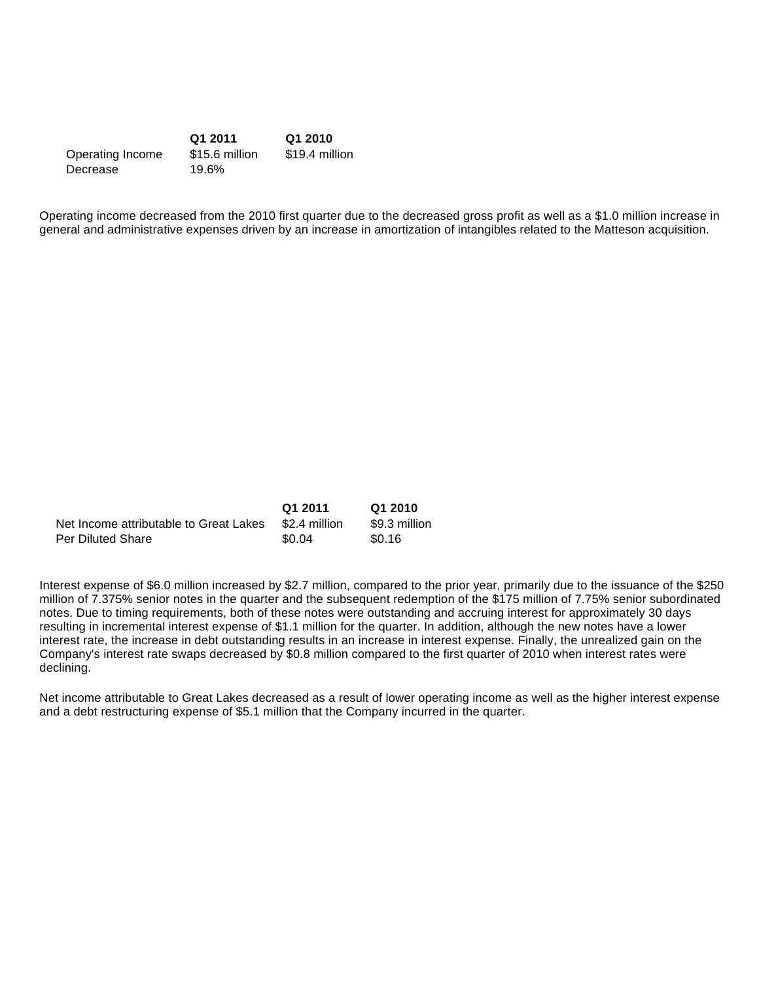|                  | Q1 2011        | Q1 2010        |
|------------------|----------------|----------------|
| Operating Income | \$15.6 million | \$19.4 million |
| Decrease         | 19.6%          |                |

Operating income decreased from the 2010 first quarter due to the decreased gross profit as well as a \$1.0 million increase in general and administrative expenses driven by an increase in amortization of intangibles related to the Matteson acquisition.

|                                        | Q1 2011       | Q1 2010       |
|----------------------------------------|---------------|---------------|
| Net Income attributable to Great Lakes | \$2.4 million | \$9.3 million |
| <b>Per Diluted Share</b>               | \$0.04        | \$0.16        |

Interest expense of \$6.0 million increased by \$2.7 million, compared to the prior year, primarily due to the issuance of the \$250 million of 7.375% senior notes in the quarter and the subsequent redemption of the \$175 million of 7.75% senior subordinated notes. Due to timing requirements, both of these notes were outstanding and accruing interest for approximately 30 days resulting in incremental interest expense of \$1.1 million for the quarter. In addition, although the new notes have a lower interest rate, the increase in debt outstanding results in an increase in interest expense. Finally, the unrealized gain on the Company's interest rate swaps decreased by \$0.8 million compared to the first quarter of 2010 when interest rates were declining.

Net income attributable to Great Lakes decreased as a result of lower operating income as well as the higher interest expense and a debt restructuring expense of \$5.1 million that the Company incurred in the quarter.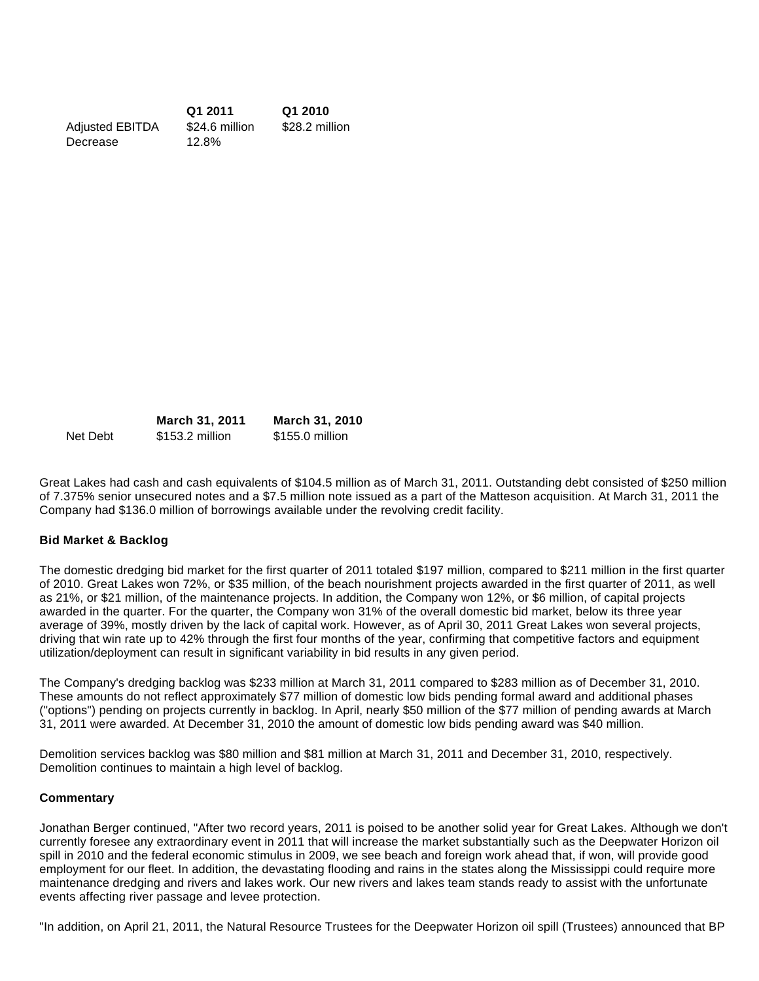**Q1 2011 Q1 2010** Adjusted EBITDA \$24.6 million \$28.2 million Decrease 12.8%

|          | <b>March 31, 2011</b> | March 31, 2010  |
|----------|-----------------------|-----------------|
| Net Debt | \$153.2 million       | \$155.0 million |

Great Lakes had cash and cash equivalents of \$104.5 million as of March 31, 2011. Outstanding debt consisted of \$250 million of 7.375% senior unsecured notes and a \$7.5 million note issued as a part of the Matteson acquisition. At March 31, 2011 the Company had \$136.0 million of borrowings available under the revolving credit facility.

#### **Bid Market & Backlog**

The domestic dredging bid market for the first quarter of 2011 totaled \$197 million, compared to \$211 million in the first quarter of 2010. Great Lakes won 72%, or \$35 million, of the beach nourishment projects awarded in the first quarter of 2011, as well as 21%, or \$21 million, of the maintenance projects. In addition, the Company won 12%, or \$6 million, of capital projects awarded in the quarter. For the quarter, the Company won 31% of the overall domestic bid market, below its three year average of 39%, mostly driven by the lack of capital work. However, as of April 30, 2011 Great Lakes won several projects, driving that win rate up to 42% through the first four months of the year, confirming that competitive factors and equipment utilization/deployment can result in significant variability in bid results in any given period.

The Company's dredging backlog was \$233 million at March 31, 2011 compared to \$283 million as of December 31, 2010. These amounts do not reflect approximately \$77 million of domestic low bids pending formal award and additional phases ("options") pending on projects currently in backlog. In April, nearly \$50 million of the \$77 million of pending awards at March 31, 2011 were awarded. At December 31, 2010 the amount of domestic low bids pending award was \$40 million.

Demolition services backlog was \$80 million and \$81 million at March 31, 2011 and December 31, 2010, respectively. Demolition continues to maintain a high level of backlog.

#### **Commentary**

Jonathan Berger continued, "After two record years, 2011 is poised to be another solid year for Great Lakes. Although we don't currently foresee any extraordinary event in 2011 that will increase the market substantially such as the Deepwater Horizon oil spill in 2010 and the federal economic stimulus in 2009, we see beach and foreign work ahead that, if won, will provide good employment for our fleet. In addition, the devastating flooding and rains in the states along the Mississippi could require more maintenance dredging and rivers and lakes work. Our new rivers and lakes team stands ready to assist with the unfortunate events affecting river passage and levee protection.

"In addition, on April 21, 2011, the Natural Resource Trustees for the Deepwater Horizon oil spill (Trustees) announced that BP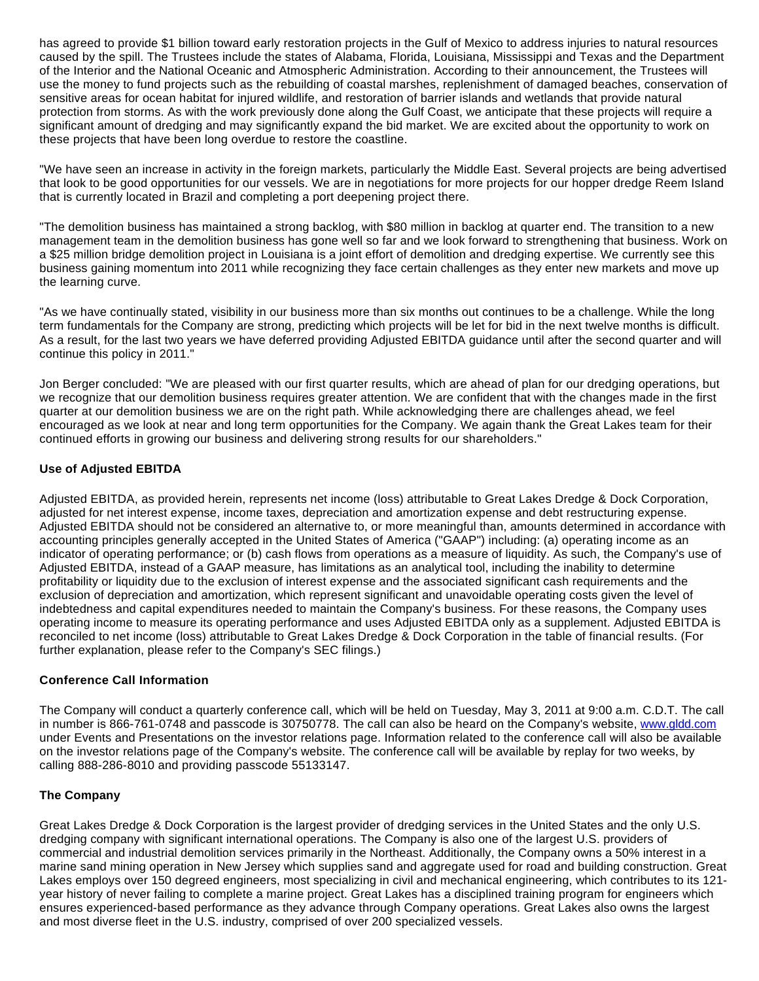has agreed to provide \$1 billion toward early restoration projects in the Gulf of Mexico to address injuries to natural resources caused by the spill. The Trustees include the states of Alabama, Florida, Louisiana, Mississippi and Texas and the Department of the Interior and the National Oceanic and Atmospheric Administration. According to their announcement, the Trustees will use the money to fund projects such as the rebuilding of coastal marshes, replenishment of damaged beaches, conservation of sensitive areas for ocean habitat for injured wildlife, and restoration of barrier islands and wetlands that provide natural protection from storms. As with the work previously done along the Gulf Coast, we anticipate that these projects will require a significant amount of dredging and may significantly expand the bid market. We are excited about the opportunity to work on these projects that have been long overdue to restore the coastline.

"We have seen an increase in activity in the foreign markets, particularly the Middle East. Several projects are being advertised that look to be good opportunities for our vessels. We are in negotiations for more projects for our hopper dredge Reem Island that is currently located in Brazil and completing a port deepening project there.

"The demolition business has maintained a strong backlog, with \$80 million in backlog at quarter end. The transition to a new management team in the demolition business has gone well so far and we look forward to strengthening that business. Work on a \$25 million bridge demolition project in Louisiana is a joint effort of demolition and dredging expertise. We currently see this business gaining momentum into 2011 while recognizing they face certain challenges as they enter new markets and move up the learning curve.

"As we have continually stated, visibility in our business more than six months out continues to be a challenge. While the long term fundamentals for the Company are strong, predicting which projects will be let for bid in the next twelve months is difficult. As a result, for the last two years we have deferred providing Adjusted EBITDA guidance until after the second quarter and will continue this policy in 2011."

Jon Berger concluded: "We are pleased with our first quarter results, which are ahead of plan for our dredging operations, but we recognize that our demolition business requires greater attention. We are confident that with the changes made in the first quarter at our demolition business we are on the right path. While acknowledging there are challenges ahead, we feel encouraged as we look at near and long term opportunities for the Company. We again thank the Great Lakes team for their continued efforts in growing our business and delivering strong results for our shareholders."

## **Use of Adjusted EBITDA**

Adjusted EBITDA, as provided herein, represents net income (loss) attributable to Great Lakes Dredge & Dock Corporation, adjusted for net interest expense, income taxes, depreciation and amortization expense and debt restructuring expense. Adjusted EBITDA should not be considered an alternative to, or more meaningful than, amounts determined in accordance with accounting principles generally accepted in the United States of America ("GAAP") including: (a) operating income as an indicator of operating performance; or (b) cash flows from operations as a measure of liquidity. As such, the Company's use of Adjusted EBITDA, instead of a GAAP measure, has limitations as an analytical tool, including the inability to determine profitability or liquidity due to the exclusion of interest expense and the associated significant cash requirements and the exclusion of depreciation and amortization, which represent significant and unavoidable operating costs given the level of indebtedness and capital expenditures needed to maintain the Company's business. For these reasons, the Company uses operating income to measure its operating performance and uses Adjusted EBITDA only as a supplement. Adjusted EBITDA is reconciled to net income (loss) attributable to Great Lakes Dredge & Dock Corporation in the table of financial results. (For further explanation, please refer to the Company's SEC filings.)

#### **Conference Call Information**

The Company will conduct a quarterly conference call, which will be held on Tuesday, May 3, 2011 at 9:00 a.m. C.D.T. The call in number is 866-761-0748 and passcode is 30750778. The call can also be heard on the Company's website, [www.gldd.com](http://cts.businesswire.com/ct/CT?id=smartlink&url=http%3A%2F%2Fwww.gldd.com%2F&esheet=6706285&lan=en-US&anchor=www.gldd.com&index=1&md5=8d40feaae5f165ba9811df3fd8d77934) under Events and Presentations on the investor relations page. Information related to the conference call will also be available on the investor relations page of the Company's website. The conference call will be available by replay for two weeks, by calling 888-286-8010 and providing passcode 55133147.

#### **The Company**

Great Lakes Dredge & Dock Corporation is the largest provider of dredging services in the United States and the only U.S. dredging company with significant international operations. The Company is also one of the largest U.S. providers of commercial and industrial demolition services primarily in the Northeast. Additionally, the Company owns a 50% interest in a marine sand mining operation in New Jersey which supplies sand and aggregate used for road and building construction. Great Lakes employs over 150 degreed engineers, most specializing in civil and mechanical engineering, which contributes to its 121 year history of never failing to complete a marine project. Great Lakes has a disciplined training program for engineers which ensures experienced-based performance as they advance through Company operations. Great Lakes also owns the largest and most diverse fleet in the U.S. industry, comprised of over 200 specialized vessels.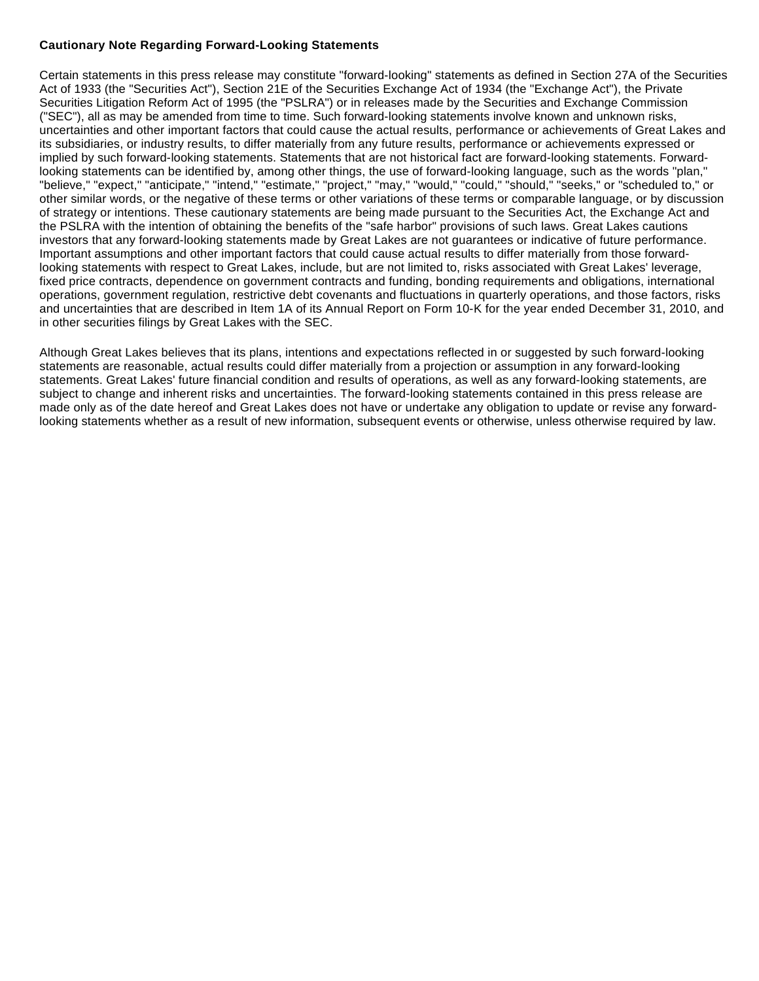## **Cautionary Note Regarding Forward-Looking Statements**

Certain statements in this press release may constitute "forward-looking" statements as defined in Section 27A of the Securities Act of 1933 (the "Securities Act"), Section 21E of the Securities Exchange Act of 1934 (the "Exchange Act"), the Private Securities Litigation Reform Act of 1995 (the "PSLRA") or in releases made by the Securities and Exchange Commission ("SEC"), all as may be amended from time to time. Such forward-looking statements involve known and unknown risks, uncertainties and other important factors that could cause the actual results, performance or achievements of Great Lakes and its subsidiaries, or industry results, to differ materially from any future results, performance or achievements expressed or implied by such forward-looking statements. Statements that are not historical fact are forward-looking statements. Forwardlooking statements can be identified by, among other things, the use of forward-looking language, such as the words "plan," "believe," "expect," "anticipate," "intend," "estimate," "project," "may," "would," "could," "should," "seeks," or "scheduled to," or other similar words, or the negative of these terms or other variations of these terms or comparable language, or by discussion of strategy or intentions. These cautionary statements are being made pursuant to the Securities Act, the Exchange Act and the PSLRA with the intention of obtaining the benefits of the "safe harbor" provisions of such laws. Great Lakes cautions investors that any forward-looking statements made by Great Lakes are not guarantees or indicative of future performance. Important assumptions and other important factors that could cause actual results to differ materially from those forwardlooking statements with respect to Great Lakes, include, but are not limited to, risks associated with Great Lakes' leverage, fixed price contracts, dependence on government contracts and funding, bonding requirements and obligations, international operations, government regulation, restrictive debt covenants and fluctuations in quarterly operations, and those factors, risks and uncertainties that are described in Item 1A of its Annual Report on Form 10-K for the year ended December 31, 2010, and in other securities filings by Great Lakes with the SEC.

Although Great Lakes believes that its plans, intentions and expectations reflected in or suggested by such forward-looking statements are reasonable, actual results could differ materially from a projection or assumption in any forward-looking statements. Great Lakes' future financial condition and results of operations, as well as any forward-looking statements, are subject to change and inherent risks and uncertainties. The forward-looking statements contained in this press release are made only as of the date hereof and Great Lakes does not have or undertake any obligation to update or revise any forwardlooking statements whether as a result of new information, subsequent events or otherwise, unless otherwise required by law.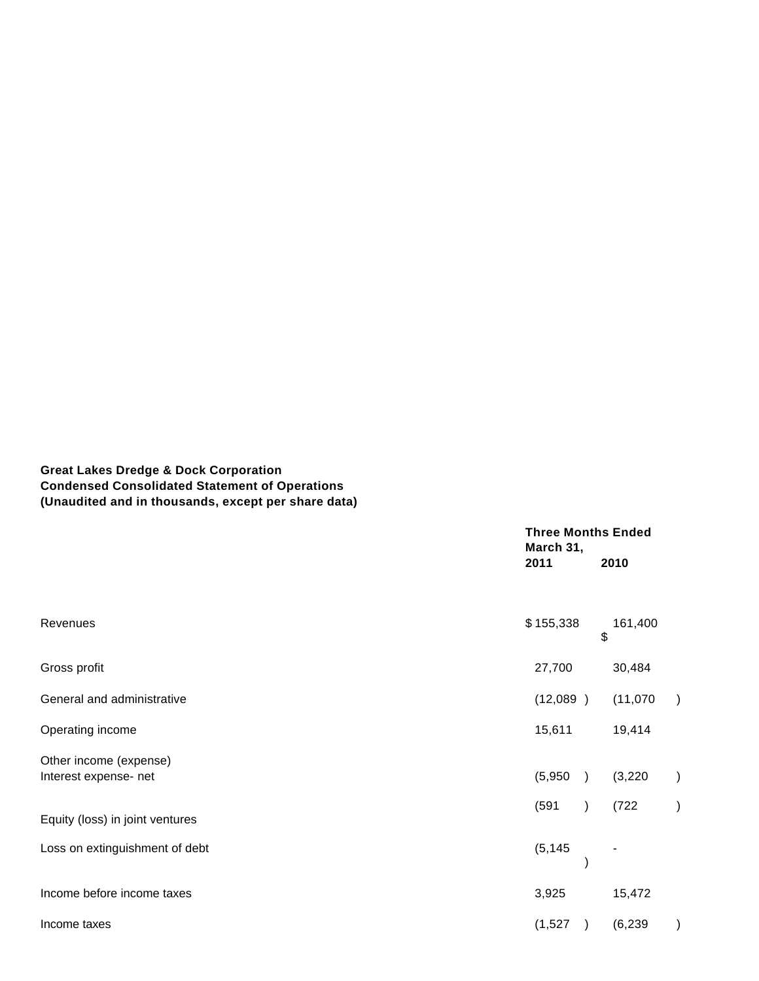# **Great Lakes Dredge & Dock Corporation Condensed Consolidated Statement of Operations (Unaudited and in thousands, except per share data)**

|                                                 |                      | <b>Three Months Ended</b><br>March 31, |           |
|-------------------------------------------------|----------------------|----------------------------------------|-----------|
|                                                 | 2011                 | 2010                                   |           |
| Revenues                                        | \$155,338            | 161,400<br>\$                          |           |
| Gross profit                                    | 27,700               | 30,484                                 |           |
| General and administrative                      | (12,089)             | (11,070)                               |           |
| Operating income                                | 15,611               | 19,414                                 |           |
| Other income (expense)<br>Interest expense- net | (5,950)<br>$\lambda$ | (3,220)                                | $\lambda$ |
| Equity (loss) in joint ventures                 | (591)                | (722)                                  | $\lambda$ |
| Loss on extinguishment of debt                  | (5, 145)             |                                        |           |
| Income before income taxes                      | 3,925                | 15,472                                 |           |
| Income taxes                                    | (1,527)<br>$\lambda$ | (6, 239)                               |           |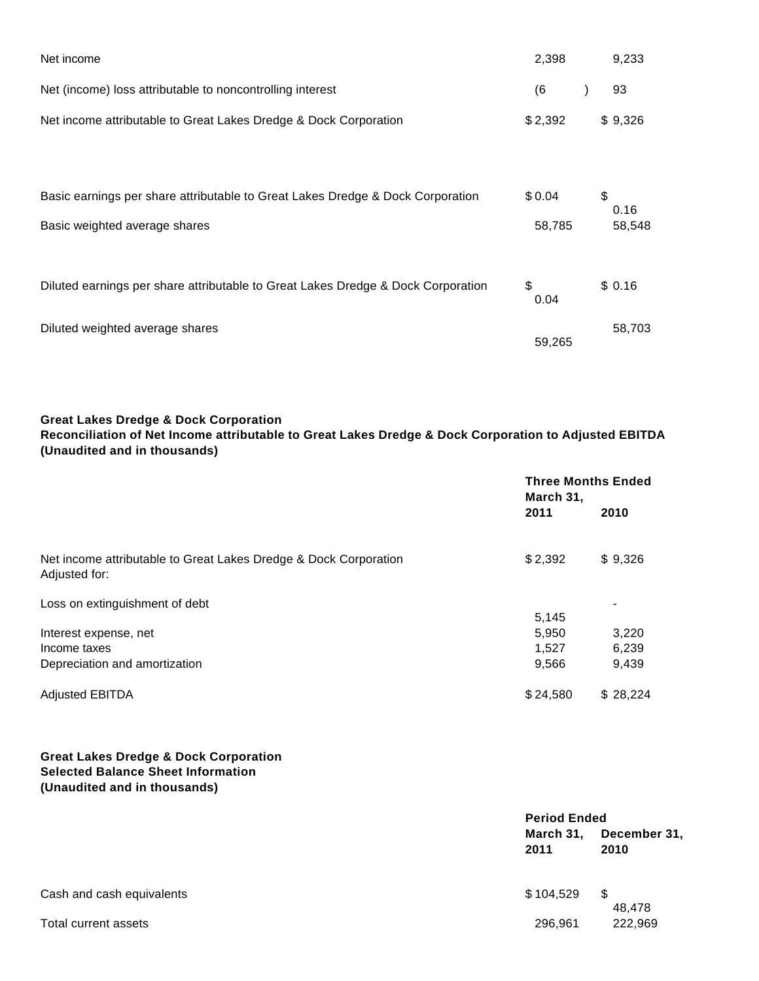| Net income                                                                                                      | 2,398            | 9,233                |
|-----------------------------------------------------------------------------------------------------------------|------------------|----------------------|
| Net (income) loss attributable to noncontrolling interest                                                       | (6)              | 93                   |
| Net income attributable to Great Lakes Dredge & Dock Corporation                                                | \$2,392          | \$9,326              |
| Basic earnings per share attributable to Great Lakes Dredge & Dock Corporation<br>Basic weighted average shares | \$0.04<br>58,785 | \$<br>0.16<br>58,548 |
| Diluted earnings per share attributable to Great Lakes Dredge & Dock Corporation                                | \$<br>0.04       | \$0.16               |
| Diluted weighted average shares                                                                                 | 59,265           | 58,703               |

## **Great Lakes Dredge & Dock Corporation**

**Reconciliation of Net Income attributable to Great Lakes Dredge & Dock Corporation to Adjusted EBITDA (Unaudited and in thousands)**

|                                                                                   | <b>Three Months Ended</b><br>March 31, |                |
|-----------------------------------------------------------------------------------|----------------------------------------|----------------|
|                                                                                   | 2011                                   | 2010           |
| Net income attributable to Great Lakes Dredge & Dock Corporation<br>Adjusted for: | \$2,392                                | \$9,326        |
| Loss on extinguishment of debt                                                    | 5,145                                  |                |
| Interest expense, net<br>Income taxes                                             | 5,950<br>1,527                         | 3,220<br>6,239 |
| Depreciation and amortization                                                     | 9,566                                  | 9,439          |
| <b>Adjusted EBITDA</b>                                                            | \$24,580                               | \$28.224       |

# **Great Lakes Dredge & Dock Corporation Selected Balance Sheet Information (Unaudited and in thousands)**

|                           |                   | <b>Period Ended</b>  |  |
|---------------------------|-------------------|----------------------|--|
|                           | March 31,<br>2011 | December 31,<br>2010 |  |
| Cash and cash equivalents | \$104,529         | \$<br>48,478         |  |
| Total current assets      | 296,961           | 222,969              |  |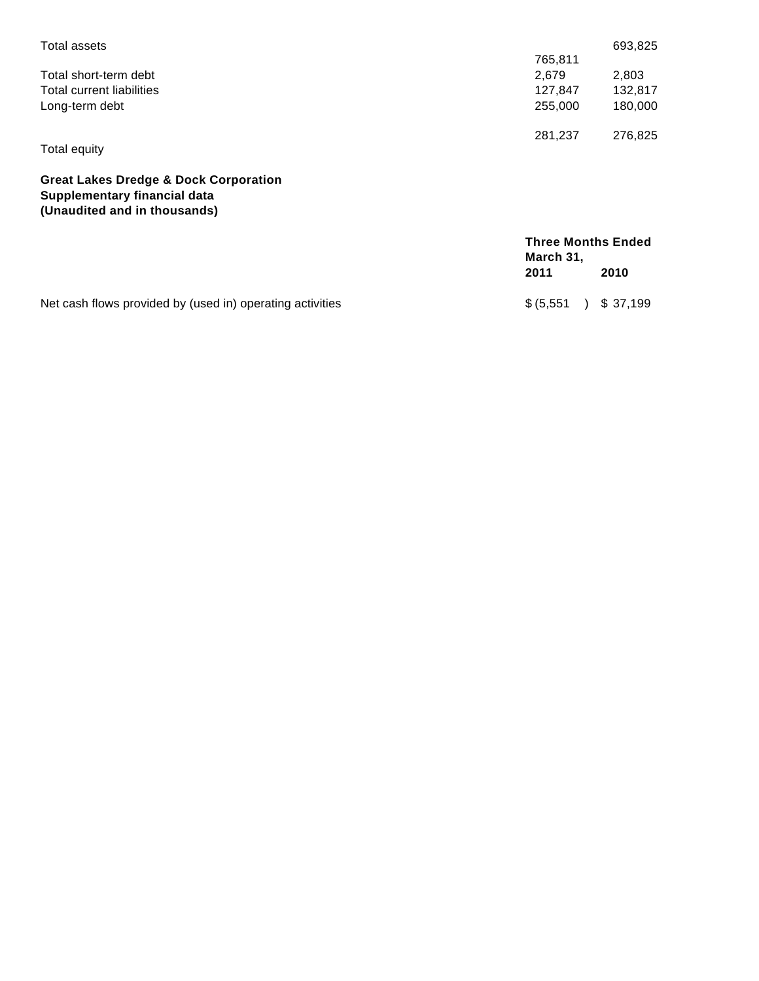| Total assets                                                                                                     |                                        | 693,825  |
|------------------------------------------------------------------------------------------------------------------|----------------------------------------|----------|
|                                                                                                                  | 765,811                                |          |
| Total short-term debt                                                                                            | 2,679                                  | 2,803    |
| Total current liabilities                                                                                        | 127,847                                | 132,817  |
| Long-term debt                                                                                                   | 255,000                                | 180,000  |
|                                                                                                                  | 281,237                                | 276,825  |
| Total equity                                                                                                     |                                        |          |
| <b>Great Lakes Dredge &amp; Dock Corporation</b><br>Supplementary financial data<br>(Unaudited and in thousands) |                                        |          |
|                                                                                                                  | <b>Three Months Ended</b><br>March 31, |          |
|                                                                                                                  | 2011                                   | 2010     |
| Net cash flows provided by (used in) operating activities                                                        | \$ (5,551)                             | \$37,199 |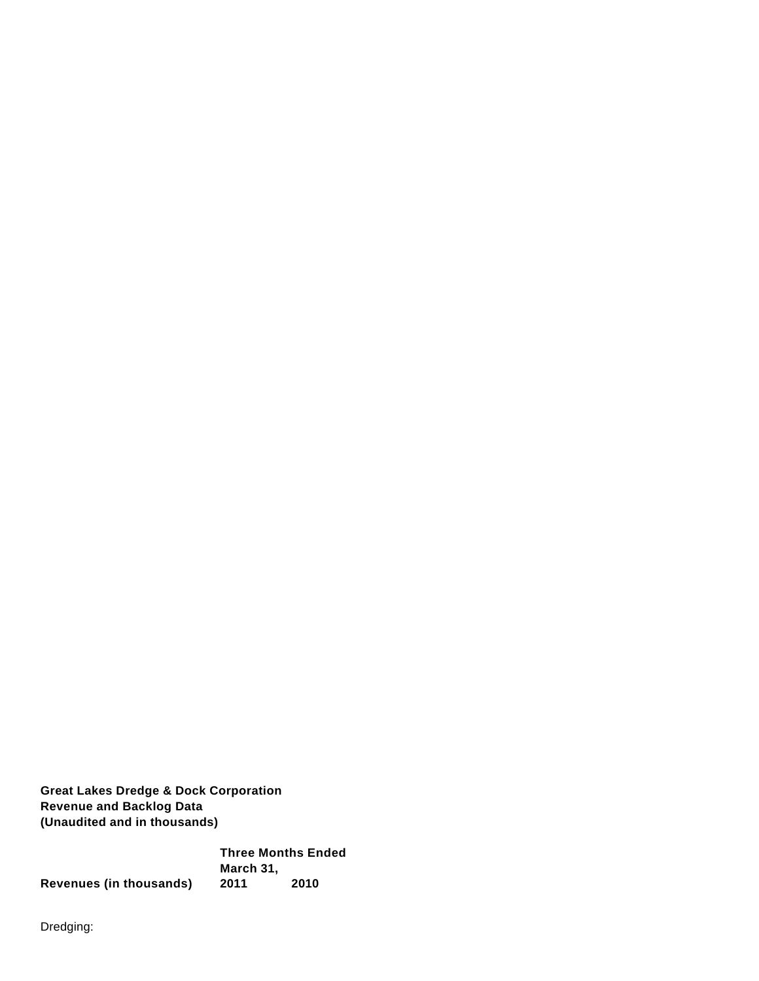**Great Lakes Dredge & Dock Corporation Revenue and Backlog Data (Unaudited and in thousands)**

**Three Months Ended March 31, Revenues (in thousands) 2011 2010**

Dredging: